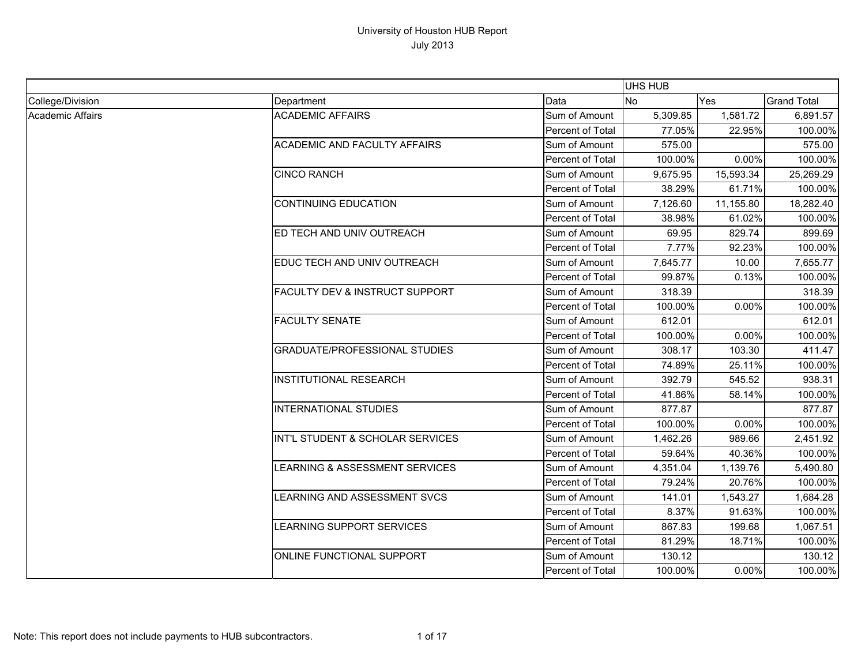|                  |                                           |                  | UHS HUB   |           |                    |
|------------------|-------------------------------------------|------------------|-----------|-----------|--------------------|
| College/Division | Department                                | Data             | <b>No</b> | Yes       | <b>Grand Total</b> |
| Academic Affairs | <b>ACADEMIC AFFAIRS</b>                   | Sum of Amount    | 5,309.85  | 1,581.72  | 6,891.57           |
|                  |                                           | Percent of Total | 77.05%    | 22.95%    | 100.00%            |
|                  | <b>ACADEMIC AND FACULTY AFFAIRS</b>       | Sum of Amount    | 575.00    |           | 575.00             |
|                  |                                           | Percent of Total | 100.00%   | 0.00%     | 100.00%            |
|                  | <b>CINCO RANCH</b>                        | Sum of Amount    | 9,675.95  | 15,593.34 | 25,269.29          |
|                  |                                           | Percent of Total | 38.29%    | 61.71%    | 100.00%            |
|                  | <b>CONTINUING EDUCATION</b>               | Sum of Amount    | 7,126.60  | 11,155.80 | 18,282.40          |
|                  |                                           | Percent of Total | 38.98%    | 61.02%    | 100.00%            |
|                  | ED TECH AND UNIV OUTREACH                 | Sum of Amount    | 69.95     | 829.74    | 899.69             |
|                  |                                           | Percent of Total | 7.77%     | 92.23%    | 100.00%            |
|                  | EDUC TECH AND UNIV OUTREACH               | Sum of Amount    | 7,645.77  | 10.00     | 7,655.77           |
|                  |                                           | Percent of Total | 99.87%    | 0.13%     | 100.00%            |
|                  | <b>FACULTY DEV &amp; INSTRUCT SUPPORT</b> | Sum of Amount    | 318.39    |           | 318.39             |
|                  |                                           | Percent of Total | 100.00%   | 0.00%     | 100.00%            |
|                  | <b>FACULTY SENATE</b>                     | Sum of Amount    | 612.01    |           | 612.01             |
|                  |                                           | Percent of Total | 100.00%   | 0.00%     | 100.00%            |
|                  | <b>GRADUATE/PROFESSIONAL STUDIES</b>      | Sum of Amount    | 308.17    | 103.30    | 411.47             |
|                  |                                           | Percent of Total | 74.89%    | 25.11%    | 100.00%            |
|                  | <b>INSTITUTIONAL RESEARCH</b>             | Sum of Amount    | 392.79    | 545.52    | 938.31             |
|                  |                                           | Percent of Total | 41.86%    | 58.14%    | 100.00%            |
|                  | <b>INTERNATIONAL STUDIES</b>              | Sum of Amount    | 877.87    |           | 877.87             |
|                  |                                           | Percent of Total | 100.00%   | 0.00%     | 100.00%            |
|                  | INT'L STUDENT & SCHOLAR SERVICES          | Sum of Amount    | 1,462.26  | 989.66    | 2,451.92           |
|                  |                                           | Percent of Total | 59.64%    | 40.36%    | 100.00%            |
|                  | LEARNING & ASSESSMENT SERVICES            | Sum of Amount    | 4,351.04  | 1,139.76  | 5,490.80           |
|                  |                                           | Percent of Total | 79.24%    | 20.76%    | 100.00%            |
|                  | <b>LEARNING AND ASSESSMENT SVCS</b>       | Sum of Amount    | 141.01    | 1,543.27  | 1,684.28           |
|                  |                                           | Percent of Total | 8.37%     | 91.63%    | 100.00%            |
|                  | LEARNING SUPPORT SERVICES                 | Sum of Amount    | 867.83    | 199.68    | 1,067.51           |
|                  |                                           | Percent of Total | 81.29%    | 18.71%    | 100.00%            |
|                  | ONLINE FUNCTIONAL SUPPORT                 | Sum of Amount    | 130.12    |           | 130.12             |
|                  |                                           | Percent of Total | 100.00%   | 0.00%     | 100.00%            |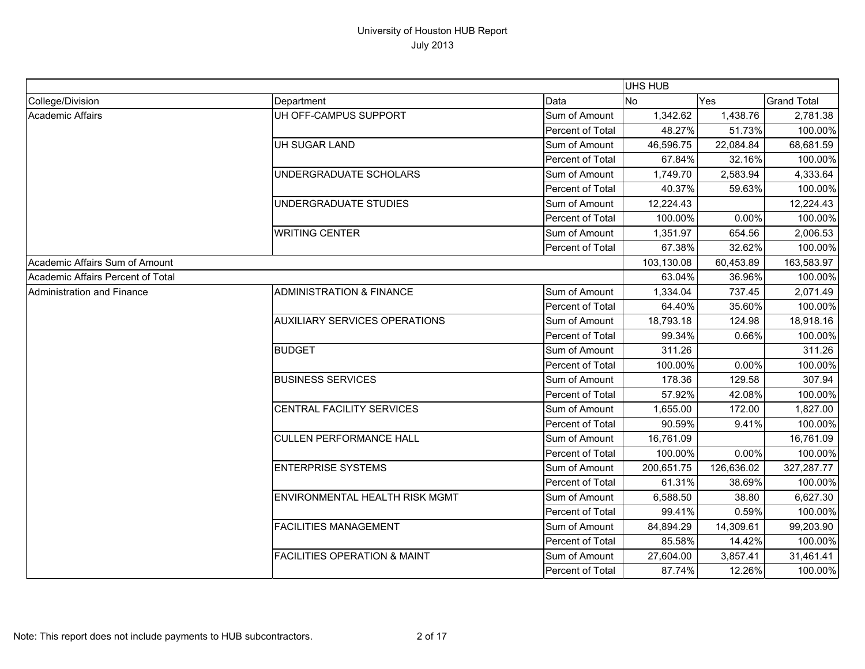|                                   |                                         |                  | UHS HUB    |            |                    |
|-----------------------------------|-----------------------------------------|------------------|------------|------------|--------------------|
| College/Division                  | Department                              | Data             | <b>No</b>  | Yes        | <b>Grand Total</b> |
| Academic Affairs                  | UH OFF-CAMPUS SUPPORT                   | Sum of Amount    | 1,342.62   | 1,438.76   | 2,781.38           |
|                                   |                                         | Percent of Total | 48.27%     | 51.73%     | 100.00%            |
|                                   | UH SUGAR LAND                           | Sum of Amount    | 46,596.75  | 22,084.84  | 68,681.59          |
|                                   |                                         | Percent of Total | 67.84%     | 32.16%     | 100.00%            |
|                                   | UNDERGRADUATE SCHOLARS                  | Sum of Amount    | 1,749.70   | 2,583.94   | 4,333.64           |
|                                   |                                         | Percent of Total | 40.37%     | 59.63%     | 100.00%            |
|                                   | UNDERGRADUATE STUDIES                   | Sum of Amount    | 12,224.43  |            | 12,224.43          |
|                                   |                                         | Percent of Total | 100.00%    | 0.00%      | 100.00%            |
|                                   | <b>WRITING CENTER</b>                   | Sum of Amount    | 1,351.97   | 654.56     | 2,006.53           |
|                                   |                                         | Percent of Total | 67.38%     | 32.62%     | 100.00%            |
| Academic Affairs Sum of Amount    |                                         |                  | 103,130.08 | 60,453.89  | 163,583.97         |
| Academic Affairs Percent of Total |                                         |                  | 63.04%     | 36.96%     | 100.00%            |
| Administration and Finance        | <b>ADMINISTRATION &amp; FINANCE</b>     | Sum of Amount    | 1,334.04   | 737.45     | 2,071.49           |
|                                   |                                         | Percent of Total | 64.40%     | 35.60%     | 100.00%            |
|                                   | <b>AUXILIARY SERVICES OPERATIONS</b>    | Sum of Amount    | 18,793.18  | 124.98     | 18,918.16          |
|                                   |                                         | Percent of Total | 99.34%     | 0.66%      | 100.00%            |
|                                   | <b>BUDGET</b>                           | Sum of Amount    | 311.26     |            | 311.26             |
|                                   |                                         | Percent of Total | 100.00%    | 0.00%      | 100.00%            |
|                                   | <b>BUSINESS SERVICES</b>                | Sum of Amount    | 178.36     | 129.58     | 307.94             |
|                                   |                                         | Percent of Total | 57.92%     | 42.08%     | 100.00%            |
|                                   | CENTRAL FACILITY SERVICES               | Sum of Amount    | 1,655.00   | 172.00     | 1,827.00           |
|                                   |                                         | Percent of Total | 90.59%     | 9.41%      | 100.00%            |
|                                   | <b>CULLEN PERFORMANCE HALL</b>          | Sum of Amount    | 16,761.09  |            | 16,761.09          |
|                                   |                                         | Percent of Total | 100.00%    | 0.00%      | 100.00%            |
|                                   | <b>ENTERPRISE SYSTEMS</b>               | Sum of Amount    | 200,651.75 | 126,636.02 | 327,287.77         |
|                                   |                                         | Percent of Total | 61.31%     | 38.69%     | 100.00%            |
|                                   | <b>ENVIRONMENTAL HEALTH RISK MGMT</b>   | Sum of Amount    | 6,588.50   | 38.80      | 6,627.30           |
|                                   |                                         | Percent of Total | 99.41%     | 0.59%      | 100.00%            |
|                                   | <b>FACILITIES MANAGEMENT</b>            | Sum of Amount    | 84,894.29  | 14,309.61  | 99,203.90          |
|                                   |                                         | Percent of Total | 85.58%     | 14.42%     | 100.00%            |
|                                   | <b>FACILITIES OPERATION &amp; MAINT</b> | Sum of Amount    | 27,604.00  | 3,857.41   | 31,461.41          |
|                                   |                                         | Percent of Total | 87.74%     | 12.26%     | 100.00%            |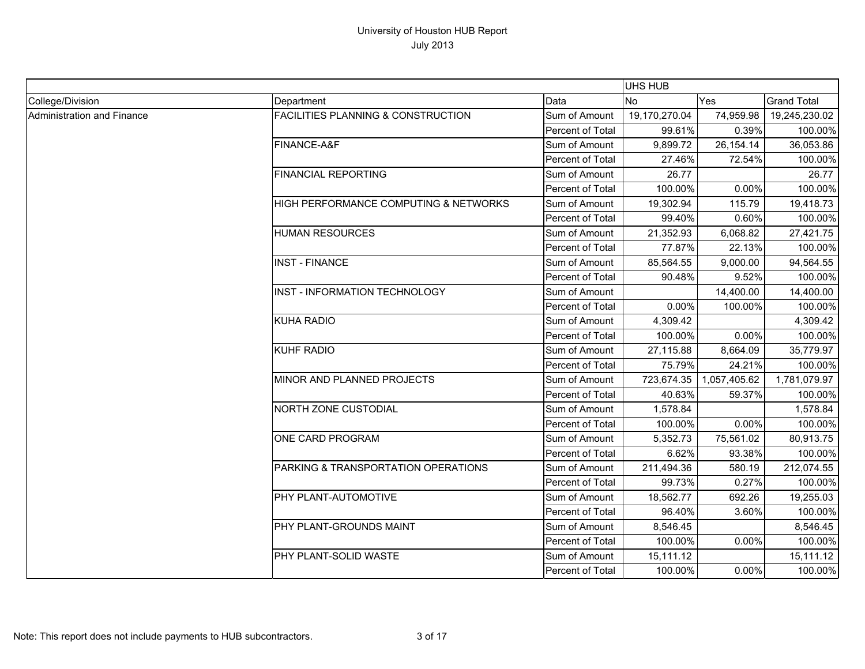|                            |                                               |                  | <b>UHS HUB</b> |              |                    |
|----------------------------|-----------------------------------------------|------------------|----------------|--------------|--------------------|
| College/Division           | Department                                    | Data             | <b>No</b>      | Yes          | <b>Grand Total</b> |
| Administration and Finance | <b>FACILITIES PLANNING &amp; CONSTRUCTION</b> | Sum of Amount    | 19,170,270.04  | 74,959.98    | 19,245,230.02      |
|                            |                                               | Percent of Total | 99.61%         | 0.39%        | 100.00%            |
|                            | FINANCE-A&F                                   | Sum of Amount    | 9,899.72       | 26,154.14    | 36,053.86          |
|                            |                                               | Percent of Total | 27.46%         | 72.54%       | 100.00%            |
|                            | <b>FINANCIAL REPORTING</b>                    | Sum of Amount    | 26.77          |              | 26.77              |
|                            |                                               | Percent of Total | 100.00%        | 0.00%        | 100.00%            |
|                            | HIGH PERFORMANCE COMPUTING & NETWORKS         | Sum of Amount    | 19,302.94      | 115.79       | 19,418.73          |
|                            |                                               | Percent of Total | 99.40%         | 0.60%        | 100.00%            |
|                            | <b>HUMAN RESOURCES</b>                        | Sum of Amount    | 21,352.93      | 6,068.82     | 27,421.75          |
|                            |                                               | Percent of Total | 77.87%         | 22.13%       | 100.00%            |
|                            | <b>INST - FINANCE</b>                         | Sum of Amount    | 85,564.55      | 9,000.00     | 94,564.55          |
|                            |                                               | Percent of Total | 90.48%         | 9.52%        | 100.00%            |
|                            | INST - INFORMATION TECHNOLOGY                 | Sum of Amount    |                | 14,400.00    | 14,400.00          |
|                            |                                               | Percent of Total | 0.00%          | 100.00%      | 100.00%            |
|                            | <b>KUHA RADIO</b>                             | Sum of Amount    | 4,309.42       |              | 4,309.42           |
|                            |                                               | Percent of Total | 100.00%        | 0.00%        | 100.00%            |
|                            | <b>KUHF RADIO</b>                             | Sum of Amount    | 27,115.88      | 8,664.09     | 35,779.97          |
|                            |                                               | Percent of Total | 75.79%         | 24.21%       | 100.00%            |
|                            | MINOR AND PLANNED PROJECTS                    | Sum of Amount    | 723,674.35     | 1,057,405.62 | 1,781,079.97       |
|                            |                                               | Percent of Total | 40.63%         | 59.37%       | 100.00%            |
|                            | NORTH ZONE CUSTODIAL                          | Sum of Amount    | 1,578.84       |              | 1,578.84           |
|                            |                                               | Percent of Total | 100.00%        | 0.00%        | 100.00%            |
|                            | <b>ONE CARD PROGRAM</b>                       | Sum of Amount    | 5,352.73       | 75,561.02    | 80,913.75          |
|                            |                                               | Percent of Total | 6.62%          | 93.38%       | 100.00%            |
|                            | PARKING & TRANSPORTATION OPERATIONS           | Sum of Amount    | 211,494.36     | 580.19       | 212,074.55         |
|                            |                                               | Percent of Total | 99.73%         | 0.27%        | 100.00%            |
|                            | PHY PLANT-AUTOMOTIVE                          | Sum of Amount    | 18,562.77      | 692.26       | 19,255.03          |
|                            |                                               | Percent of Total | 96.40%         | 3.60%        | 100.00%            |
|                            | PHY PLANT-GROUNDS MAINT                       | Sum of Amount    | 8,546.45       |              | 8,546.45           |
|                            |                                               | Percent of Total | 100.00%        | 0.00%        | 100.00%            |
|                            | PHY PLANT-SOLID WASTE                         | Sum of Amount    | 15,111.12      |              | 15,111.12          |
|                            |                                               | Percent of Total | 100.00%        | 0.00%        | 100.00%            |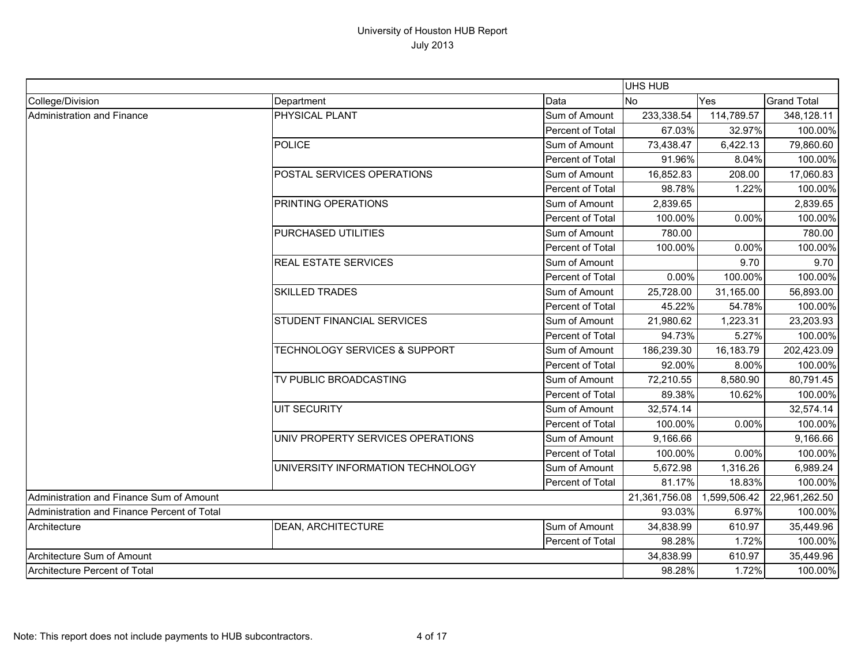|                                             |                                          |                  | <b>UHS HUB</b> |              |                    |
|---------------------------------------------|------------------------------------------|------------------|----------------|--------------|--------------------|
| College/Division                            | Department                               | Data             | <b>No</b>      | Yes          | <b>Grand Total</b> |
| Administration and Finance                  | PHYSICAL PLANT                           | Sum of Amount    | 233,338.54     | 114,789.57   | 348,128.11         |
|                                             |                                          | Percent of Total | 67.03%         | 32.97%       | 100.00%            |
|                                             | <b>POLICE</b>                            | Sum of Amount    | 73,438.47      | 6,422.13     | 79,860.60          |
|                                             |                                          | Percent of Total | 91.96%         | 8.04%        | 100.00%            |
|                                             | POSTAL SERVICES OPERATIONS               | Sum of Amount    | 16,852.83      | 208.00       | 17,060.83          |
|                                             |                                          | Percent of Total | 98.78%         | 1.22%        | 100.00%            |
|                                             | PRINTING OPERATIONS                      | Sum of Amount    | 2,839.65       |              | 2,839.65           |
|                                             |                                          | Percent of Total | 100.00%        | 0.00%        | 100.00%            |
|                                             | PURCHASED UTILITIES                      | Sum of Amount    | 780.00         |              | 780.00             |
|                                             |                                          | Percent of Total | 100.00%        | 0.00%        | 100.00%            |
|                                             | <b>REAL ESTATE SERVICES</b>              | Sum of Amount    |                | 9.70         | 9.70               |
|                                             |                                          | Percent of Total | 0.00%          | 100.00%      | 100.00%            |
|                                             | <b>SKILLED TRADES</b>                    | Sum of Amount    | 25,728.00      | 31,165.00    | 56,893.00          |
|                                             |                                          | Percent of Total | 45.22%         | 54.78%       | 100.00%            |
|                                             | STUDENT FINANCIAL SERVICES               | Sum of Amount    | 21,980.62      | 1,223.31     | 23,203.93          |
|                                             |                                          | Percent of Total | 94.73%         | 5.27%        | 100.00%            |
|                                             | <b>TECHNOLOGY SERVICES &amp; SUPPORT</b> | Sum of Amount    | 186,239.30     | 16,183.79    | 202,423.09         |
|                                             |                                          | Percent of Total | 92.00%         | 8.00%        | 100.00%            |
|                                             | TV PUBLIC BROADCASTING                   | Sum of Amount    | 72,210.55      | 8,580.90     | 80,791.45          |
|                                             |                                          | Percent of Total | 89.38%         | 10.62%       | 100.00%            |
|                                             | <b>UIT SECURITY</b>                      | Sum of Amount    | 32,574.14      |              | 32,574.14          |
|                                             |                                          | Percent of Total | 100.00%        | 0.00%        | 100.00%            |
|                                             | UNIV PROPERTY SERVICES OPERATIONS        | Sum of Amount    | 9,166.66       |              | 9,166.66           |
|                                             |                                          | Percent of Total | 100.00%        | 0.00%        | 100.00%            |
|                                             | UNIVERSITY INFORMATION TECHNOLOGY        | Sum of Amount    | 5,672.98       | 1,316.26     | 6,989.24           |
|                                             |                                          | Percent of Total | 81.17%         | 18.83%       | 100.00%            |
| Administration and Finance Sum of Amount    |                                          |                  | 21,361,756.08  | 1,599,506.42 | 22,961,262.50      |
| Administration and Finance Percent of Total |                                          |                  | 93.03%         | 6.97%        | 100.00%            |
| Architecture                                | DEAN, ARCHITECTURE                       | Sum of Amount    | 34,838.99      | 610.97       | 35,449.96          |
|                                             |                                          | Percent of Total | 98.28%         | 1.72%        | 100.00%            |
| Architecture Sum of Amount                  |                                          |                  | 34,838.99      | 610.97       | 35,449.96          |
| Architecture Percent of Total               |                                          |                  | 98.28%         | 1.72%        | 100.00%            |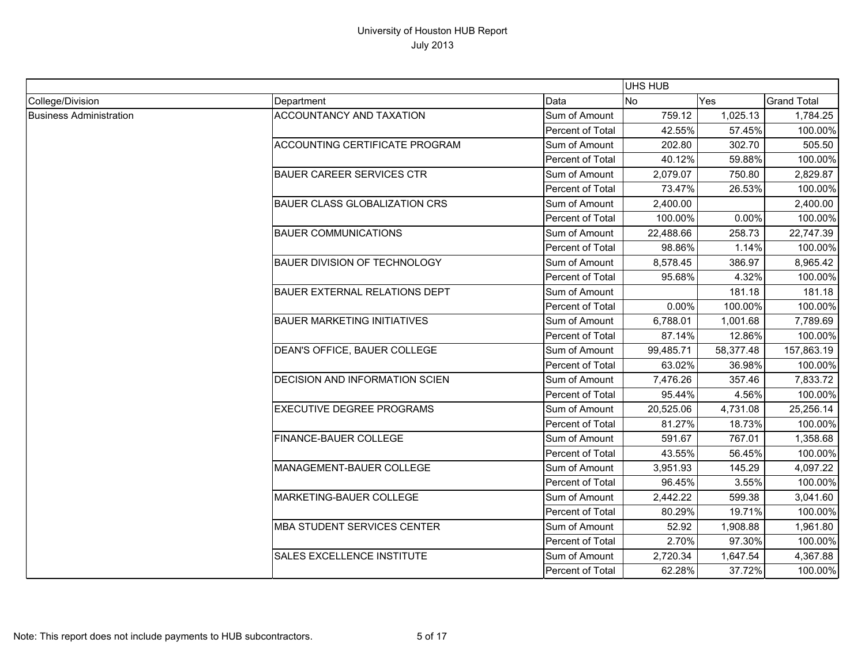|                                |                                       |                  | UHS HUB   |           |                    |
|--------------------------------|---------------------------------------|------------------|-----------|-----------|--------------------|
| College/Division               | Department                            | Data             | No        | Yes       | <b>Grand Total</b> |
| <b>Business Administration</b> | <b>ACCOUNTANCY AND TAXATION</b>       | Sum of Amount    | 759.12    | 1,025.13  | 1,784.25           |
|                                |                                       | Percent of Total | 42.55%    | 57.45%    | 100.00%            |
|                                | <b>ACCOUNTING CERTIFICATE PROGRAM</b> | Sum of Amount    | 202.80    | 302.70    | 505.50             |
|                                |                                       | Percent of Total | 40.12%    | 59.88%    | 100.00%            |
|                                | <b>BAUER CAREER SERVICES CTR</b>      | Sum of Amount    | 2,079.07  | 750.80    | 2,829.87           |
|                                |                                       | Percent of Total | 73.47%    | 26.53%    | 100.00%            |
|                                | <b>BAUER CLASS GLOBALIZATION CRS</b>  | Sum of Amount    | 2,400.00  |           | 2,400.00           |
|                                |                                       | Percent of Total | 100.00%   | 0.00%     | 100.00%            |
|                                | <b>BAUER COMMUNICATIONS</b>           | Sum of Amount    | 22,488.66 | 258.73    | 22,747.39          |
|                                |                                       | Percent of Total | 98.86%    | 1.14%     | 100.00%            |
|                                | <b>BAUER DIVISION OF TECHNOLOGY</b>   | Sum of Amount    | 8,578.45  | 386.97    | 8,965.42           |
|                                |                                       | Percent of Total | 95.68%    | 4.32%     | 100.00%            |
|                                | <b>BAUER EXTERNAL RELATIONS DEPT</b>  | Sum of Amount    |           | 181.18    | 181.18             |
|                                |                                       | Percent of Total | 0.00%     | 100.00%   | 100.00%            |
|                                | <b>BAUER MARKETING INITIATIVES</b>    | Sum of Amount    | 6,788.01  | 1,001.68  | 7,789.69           |
|                                |                                       | Percent of Total | 87.14%    | 12.86%    | 100.00%            |
|                                | DEAN'S OFFICE, BAUER COLLEGE          | Sum of Amount    | 99,485.71 | 58,377.48 | 157,863.19         |
|                                |                                       | Percent of Total | 63.02%    | 36.98%    | 100.00%            |
|                                | DECISION AND INFORMATION SCIEN        | Sum of Amount    | 7,476.26  | 357.46    | 7,833.72           |
|                                |                                       | Percent of Total | 95.44%    | 4.56%     | 100.00%            |
|                                | <b>EXECUTIVE DEGREE PROGRAMS</b>      | Sum of Amount    | 20,525.06 | 4,731.08  | 25,256.14          |
|                                |                                       | Percent of Total | 81.27%    | 18.73%    | 100.00%            |
|                                | <b>FINANCE-BAUER COLLEGE</b>          | Sum of Amount    | 591.67    | 767.01    | 1,358.68           |
|                                |                                       | Percent of Total | 43.55%    | 56.45%    | 100.00%            |
|                                | MANAGEMENT-BAUER COLLEGE              | Sum of Amount    | 3,951.93  | 145.29    | 4,097.22           |
|                                |                                       | Percent of Total | 96.45%    | 3.55%     | 100.00%            |
|                                | MARKETING-BAUER COLLEGE               | Sum of Amount    | 2,442.22  | 599.38    | 3,041.60           |
|                                |                                       | Percent of Total | 80.29%    | 19.71%    | 100.00%            |
|                                | <b>MBA STUDENT SERVICES CENTER</b>    | Sum of Amount    | 52.92     | 1,908.88  | 1,961.80           |
|                                |                                       | Percent of Total | 2.70%     | 97.30%    | 100.00%            |
|                                | <b>SALES EXCELLENCE INSTITUTE</b>     | Sum of Amount    | 2,720.34  | 1,647.54  | 4,367.88           |
|                                |                                       | Percent of Total | 62.28%    | 37.72%    | 100.00%            |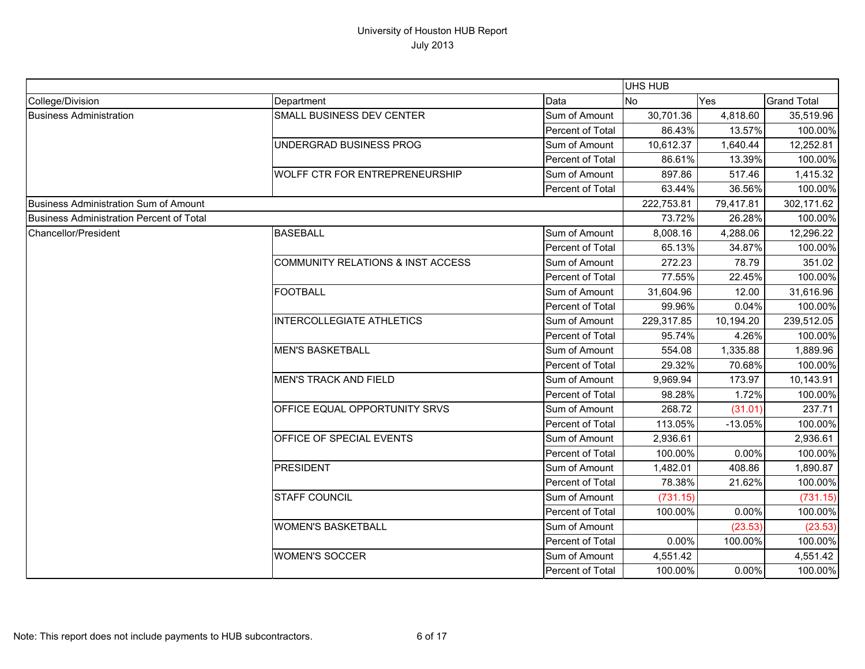|                                          |                                              |                         | UHS HUB        |           |                    |
|------------------------------------------|----------------------------------------------|-------------------------|----------------|-----------|--------------------|
| College/Division                         | Department                                   | Data                    | N <sub>o</sub> | Yes       | <b>Grand Total</b> |
| <b>Business Administration</b>           | SMALL BUSINESS DEV CENTER                    | Sum of Amount           | 30,701.36      | 4,818.60  | 35,519.96          |
|                                          |                                              | Percent of Total        | 86.43%         | 13.57%    | 100.00%            |
|                                          | UNDERGRAD BUSINESS PROG                      | Sum of Amount           | 10,612.37      | 1,640.44  | 12,252.81          |
|                                          |                                              | <b>Percent of Total</b> | 86.61%         | 13.39%    | 100.00%            |
|                                          | <b>WOLFF CTR FOR ENTREPRENEURSHIP</b>        | Sum of Amount           | 897.86         | 517.46    | 1,415.32           |
|                                          |                                              | Percent of Total        | 63.44%         | 36.56%    | 100.00%            |
| Business Administration Sum of Amount    |                                              |                         | 222,753.81     | 79,417.81 | 302,171.62         |
| Business Administration Percent of Total |                                              |                         | 73.72%         | 26.28%    | 100.00%            |
| Chancellor/President                     | <b>BASEBALL</b>                              | Sum of Amount           | 8,008.16       | 4,288.06  | 12,296.22          |
|                                          |                                              | <b>Percent of Total</b> | 65.13%         | 34.87%    | 100.00%            |
|                                          | <b>COMMUNITY RELATIONS &amp; INST ACCESS</b> | Sum of Amount           | 272.23         | 78.79     | 351.02             |
|                                          |                                              | Percent of Total        | 77.55%         | 22.45%    | 100.00%            |
|                                          | <b>FOOTBALL</b>                              | Sum of Amount           | 31,604.96      | 12.00     | 31,616.96          |
|                                          |                                              | Percent of Total        | 99.96%         | 0.04%     | 100.00%            |
|                                          | <b>INTERCOLLEGIATE ATHLETICS</b>             | Sum of Amount           | 229,317.85     | 10,194.20 | 239,512.05         |
|                                          |                                              | Percent of Total        | 95.74%         | 4.26%     | 100.00%            |
|                                          | <b>MEN'S BASKETBALL</b>                      | Sum of Amount           | 554.08         | 1,335.88  | 1,889.96           |
|                                          |                                              | Percent of Total        | 29.32%         | 70.68%    | 100.00%            |
|                                          | <b>MEN'S TRACK AND FIELD</b>                 | Sum of Amount           | 9,969.94       | 173.97    | 10,143.91          |
|                                          |                                              | Percent of Total        | 98.28%         | 1.72%     | 100.00%            |
|                                          | OFFICE EQUAL OPPORTUNITY SRVS                | Sum of Amount           | 268.72         | (31.01)   | 237.71             |
|                                          |                                              | Percent of Total        | 113.05%        | $-13.05%$ | 100.00%            |
|                                          | OFFICE OF SPECIAL EVENTS                     | Sum of Amount           | 2,936.61       |           | 2,936.61           |
|                                          |                                              | Percent of Total        | 100.00%        | 0.00%     | 100.00%            |
|                                          | <b>PRESIDENT</b>                             | Sum of Amount           | 1,482.01       | 408.86    | 1,890.87           |
|                                          |                                              | Percent of Total        | 78.38%         | 21.62%    | 100.00%            |
|                                          | <b>STAFF COUNCIL</b>                         | Sum of Amount           | (731.15)       |           | (731.15)           |
|                                          |                                              | Percent of Total        | 100.00%        | 0.00%     | 100.00%            |
|                                          | <b>WOMEN'S BASKETBALL</b>                    | Sum of Amount           |                | (23.53)   | (23.53)            |
|                                          |                                              | Percent of Total        | 0.00%          | 100.00%   | 100.00%            |
|                                          | <b>WOMEN'S SOCCER</b>                        | Sum of Amount           | 4,551.42       |           | 4,551.42           |
|                                          |                                              | Percent of Total        | 100.00%        | 0.00%     | 100.00%            |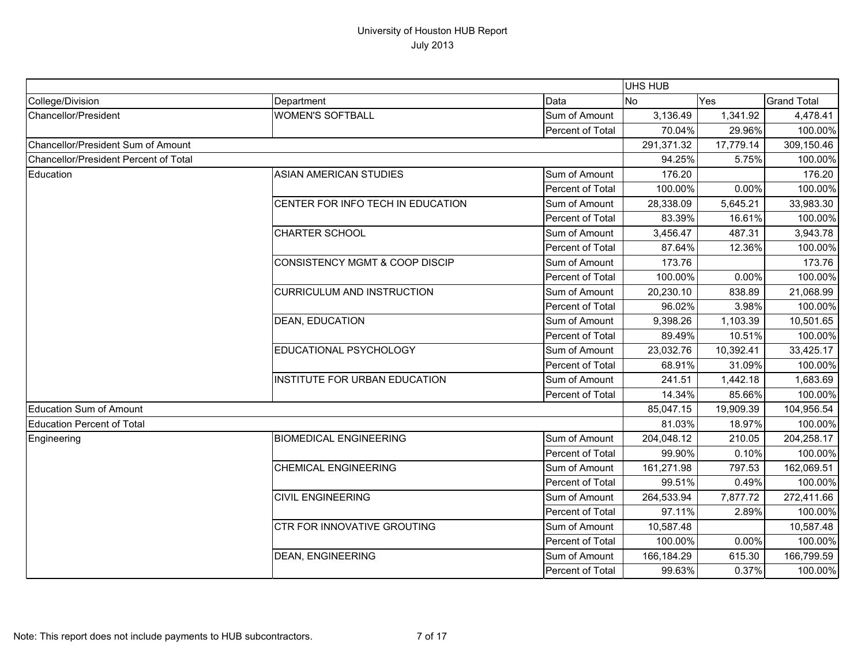|                                              |                                           |                  | UHS HUB    |           |                    |
|----------------------------------------------|-------------------------------------------|------------------|------------|-----------|--------------------|
| College/Division                             | Department                                | Data             | <b>No</b>  | Yes       | <b>Grand Total</b> |
| Chancellor/President                         | <b>WOMEN'S SOFTBALL</b>                   | Sum of Amount    | 3,136.49   | 1,341.92  | 4,478.41           |
|                                              |                                           | Percent of Total | 70.04%     | 29.96%    | 100.00%            |
| Chancellor/President Sum of Amount           |                                           |                  | 291,371.32 | 17,779.14 | 309,150.46         |
| <b>Chancellor/President Percent of Total</b> |                                           |                  | 94.25%     | 5.75%     | 100.00%            |
| Education                                    | <b>ASIAN AMERICAN STUDIES</b>             | Sum of Amount    | 176.20     |           | 176.20             |
|                                              |                                           | Percent of Total | 100.00%    | 0.00%     | 100.00%            |
|                                              | CENTER FOR INFO TECH IN EDUCATION         | Sum of Amount    | 28,338.09  | 5,645.21  | 33,983.30          |
|                                              |                                           | Percent of Total | 83.39%     | 16.61%    | 100.00%            |
|                                              | <b>CHARTER SCHOOL</b>                     | Sum of Amount    | 3,456.47   | 487.31    | 3,943.78           |
|                                              |                                           | Percent of Total | 87.64%     | 12.36%    | 100.00%            |
|                                              | <b>CONSISTENCY MGMT &amp; COOP DISCIP</b> | Sum of Amount    | 173.76     |           | 173.76             |
|                                              |                                           | Percent of Total | 100.00%    | 0.00%     | 100.00%            |
|                                              | <b>CURRICULUM AND INSTRUCTION</b>         | Sum of Amount    | 20,230.10  | 838.89    | 21,068.99          |
|                                              |                                           | Percent of Total | 96.02%     | 3.98%     | 100.00%            |
|                                              | <b>DEAN, EDUCATION</b>                    | Sum of Amount    | 9,398.26   | 1,103.39  | 10,501.65          |
|                                              |                                           | Percent of Total | 89.49%     | 10.51%    | 100.00%            |
|                                              | EDUCATIONAL PSYCHOLOGY                    | Sum of Amount    | 23,032.76  | 10,392.41 | 33,425.17          |
|                                              |                                           | Percent of Total | 68.91%     | 31.09%    | 100.00%            |
|                                              | INSTITUTE FOR URBAN EDUCATION             | Sum of Amount    | 241.51     | 1,442.18  | 1,683.69           |
|                                              |                                           | Percent of Total | 14.34%     | 85.66%    | 100.00%            |
| <b>Education Sum of Amount</b>               |                                           |                  | 85,047.15  | 19,909.39 | 104,956.54         |
| <b>Education Percent of Total</b>            |                                           |                  | 81.03%     | 18.97%    | 100.00%            |
| Engineering                                  | <b>BIOMEDICAL ENGINEERING</b>             | Sum of Amount    | 204,048.12 | 210.05    | 204,258.17         |
|                                              |                                           | Percent of Total | 99.90%     | 0.10%     | 100.00%            |
|                                              | <b>CHEMICAL ENGINEERING</b>               | Sum of Amount    | 161,271.98 | 797.53    | 162,069.51         |
|                                              |                                           | Percent of Total | 99.51%     | 0.49%     | 100.00%            |
|                                              | <b>CIVIL ENGINEERING</b>                  | Sum of Amount    | 264,533.94 | 7,877.72  | 272,411.66         |
|                                              |                                           | Percent of Total | 97.11%     | 2.89%     | 100.00%            |
|                                              | <b>CTR FOR INNOVATIVE GROUTING</b>        | Sum of Amount    | 10,587.48  |           | 10,587.48          |
|                                              |                                           | Percent of Total | 100.00%    | 0.00%     | 100.00%            |
|                                              | <b>DEAN, ENGINEERING</b>                  | Sum of Amount    | 166,184.29 | 615.30    | 166,799.59         |
|                                              |                                           | Percent of Total | 99.63%     | 0.37%     | 100.00%            |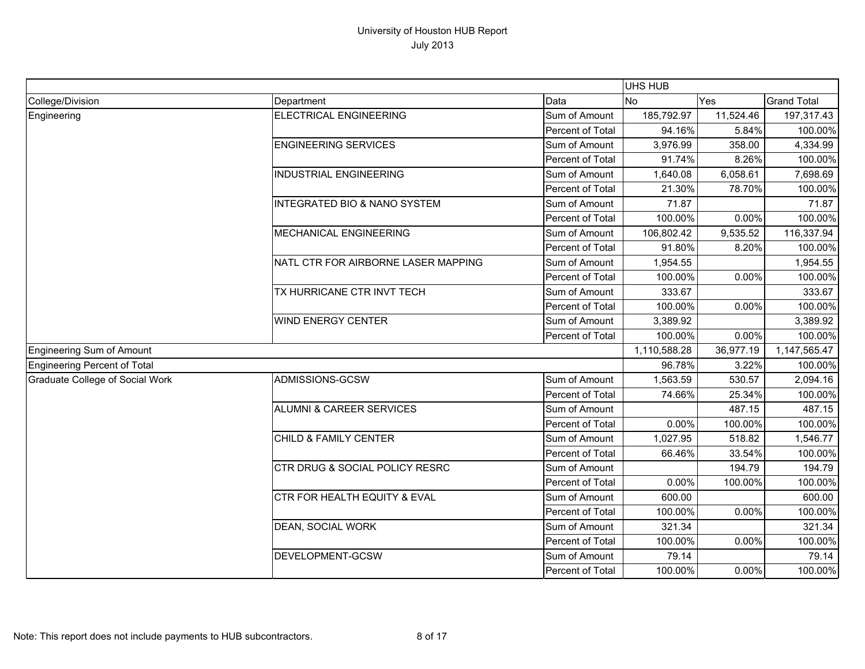|                                 |                                         |                  | UHS HUB      |           |                    |
|---------------------------------|-----------------------------------------|------------------|--------------|-----------|--------------------|
| College/Division                | Department                              | Data             | <b>No</b>    | Yes       | <b>Grand Total</b> |
| Engineering                     | <b>ELECTRICAL ENGINEERING</b>           | Sum of Amount    | 185,792.97   | 11,524.46 | 197,317.43         |
|                                 |                                         | Percent of Total | 94.16%       | 5.84%     | 100.00%            |
|                                 | <b>ENGINEERING SERVICES</b>             | Sum of Amount    | 3,976.99     | 358.00    | 4,334.99           |
|                                 |                                         | Percent of Total | 91.74%       | 8.26%     | 100.00%            |
|                                 | <b>INDUSTRIAL ENGINEERING</b>           | Sum of Amount    | 1,640.08     | 6,058.61  | 7,698.69           |
|                                 |                                         | Percent of Total | 21.30%       | 78.70%    | 100.00%            |
|                                 | <b>INTEGRATED BIO &amp; NANO SYSTEM</b> | Sum of Amount    | 71.87        |           | 71.87              |
|                                 |                                         | Percent of Total | 100.00%      | 0.00%     | 100.00%            |
|                                 | MECHANICAL ENGINEERING                  | Sum of Amount    | 106,802.42   | 9,535.52  | 116,337.94         |
|                                 |                                         | Percent of Total | 91.80%       | 8.20%     | 100.00%            |
|                                 | NATL CTR FOR AIRBORNE LASER MAPPING     | Sum of Amount    | 1,954.55     |           | 1,954.55           |
|                                 |                                         | Percent of Total | 100.00%      | 0.00%     | 100.00%            |
|                                 | TX HURRICANE CTR INVT TECH              | Sum of Amount    | 333.67       |           | 333.67             |
|                                 |                                         | Percent of Total | 100.00%      | 0.00%     | 100.00%            |
|                                 | <b>WIND ENERGY CENTER</b>               | Sum of Amount    | 3,389.92     |           | 3,389.92           |
|                                 |                                         | Percent of Total | 100.00%      | 0.00%     | 100.00%            |
| Engineering Sum of Amount       |                                         |                  | 1,110,588.28 | 36,977.19 | 1,147,565.47       |
| Engineering Percent of Total    |                                         |                  | 96.78%       | 3.22%     | 100.00%            |
| Graduate College of Social Work | ADMISSIONS-GCSW                         | Sum of Amount    | 1,563.59     | 530.57    | 2,094.16           |
|                                 |                                         | Percent of Total | 74.66%       | 25.34%    | 100.00%            |
|                                 | <b>ALUMNI &amp; CAREER SERVICES</b>     | Sum of Amount    |              | 487.15    | 487.15             |
|                                 |                                         | Percent of Total | 0.00%        | 100.00%   | 100.00%            |
|                                 | CHILD & FAMILY CENTER                   | Sum of Amount    | 1,027.95     | 518.82    | 1,546.77           |
|                                 |                                         | Percent of Total | 66.46%       | 33.54%    | 100.00%            |
|                                 | CTR DRUG & SOCIAL POLICY RESRC          | Sum of Amount    |              | 194.79    | 194.79             |
|                                 |                                         | Percent of Total | 0.00%        | 100.00%   | 100.00%            |
|                                 | <b>CTR FOR HEALTH EQUITY &amp; EVAL</b> | Sum of Amount    | 600.00       |           | 600.00             |
|                                 |                                         | Percent of Total | 100.00%      | 0.00%     | 100.00%            |
|                                 | DEAN, SOCIAL WORK                       | Sum of Amount    | 321.34       |           | 321.34             |
|                                 |                                         | Percent of Total | 100.00%      | 0.00%     | 100.00%            |
|                                 | DEVELOPMENT-GCSW                        | Sum of Amount    | 79.14        |           | 79.14              |
|                                 |                                         | Percent of Total | 100.00%      | 0.00%     | 100.00%            |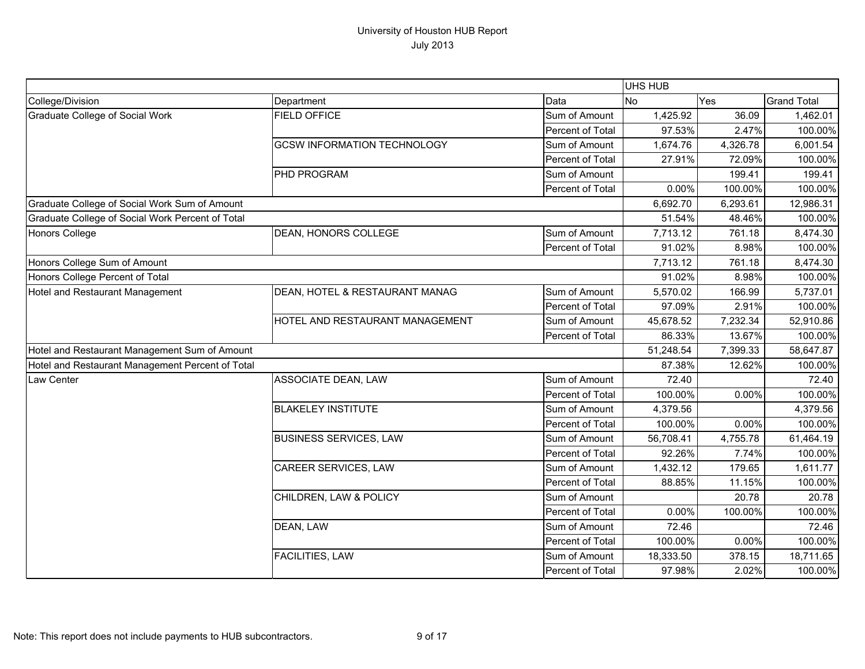|                                                  |                                    |                  | <b>UHS HUB</b> |          |                    |
|--------------------------------------------------|------------------------------------|------------------|----------------|----------|--------------------|
| College/Division                                 | Department                         | Data             | No             | Yes      | <b>Grand Total</b> |
| Graduate College of Social Work                  | <b>FIELD OFFICE</b>                | Sum of Amount    | 1,425.92       | 36.09    | 1,462.01           |
|                                                  |                                    | Percent of Total | 97.53%         | 2.47%    | 100.00%            |
|                                                  | <b>GCSW INFORMATION TECHNOLOGY</b> | Sum of Amount    | 1,674.76       | 4,326.78 | 6,001.54           |
|                                                  |                                    | Percent of Total | 27.91%         | 72.09%   | 100.00%            |
|                                                  | PHD PROGRAM                        | Sum of Amount    |                | 199.41   | 199.41             |
|                                                  |                                    | Percent of Total | 0.00%          | 100.00%  | 100.00%            |
| Graduate College of Social Work Sum of Amount    |                                    |                  | 6,692.70       | 6,293.61 | 12,986.31          |
| Graduate College of Social Work Percent of Total |                                    |                  | 51.54%         | 48.46%   | 100.00%            |
| <b>Honors College</b>                            | DEAN, HONORS COLLEGE               | Sum of Amount    | 7,713.12       | 761.18   | 8,474.30           |
|                                                  |                                    | Percent of Total | 91.02%         | 8.98%    | 100.00%            |
| Honors College Sum of Amount                     |                                    |                  | 7,713.12       | 761.18   | 8,474.30           |
| Honors College Percent of Total                  |                                    |                  | 91.02%         | 8.98%    | 100.00%            |
| Hotel and Restaurant Management                  | DEAN, HOTEL & RESTAURANT MANAG     | Sum of Amount    | 5,570.02       | 166.99   | 5,737.01           |
|                                                  |                                    | Percent of Total | 97.09%         | 2.91%    | 100.00%            |
|                                                  | HOTEL AND RESTAURANT MANAGEMENT    | Sum of Amount    | 45,678.52      | 7,232.34 | 52,910.86          |
|                                                  |                                    | Percent of Total | 86.33%         | 13.67%   | 100.00%            |
| Hotel and Restaurant Management Sum of Amount    |                                    |                  | 51,248.54      | 7,399.33 | 58,647.87          |
| Hotel and Restaurant Management Percent of Total |                                    |                  | 87.38%         | 12.62%   | 100.00%            |
| Law Center                                       | ASSOCIATE DEAN, LAW                | Sum of Amount    | 72.40          |          | 72.40              |
|                                                  |                                    | Percent of Total | 100.00%        | 0.00%    | 100.00%            |
|                                                  | <b>BLAKELEY INSTITUTE</b>          | Sum of Amount    | 4,379.56       |          | 4,379.56           |
|                                                  |                                    | Percent of Total | 100.00%        | 0.00%    | 100.00%            |
|                                                  | <b>BUSINESS SERVICES, LAW</b>      | Sum of Amount    | 56,708.41      | 4,755.78 | 61,464.19          |
|                                                  |                                    | Percent of Total | 92.26%         | 7.74%    | 100.00%            |
|                                                  | CAREER SERVICES, LAW               | Sum of Amount    | 1,432.12       | 179.65   | 1,611.77           |
|                                                  |                                    | Percent of Total | 88.85%         | 11.15%   | 100.00%            |
|                                                  | CHILDREN, LAW & POLICY             | Sum of Amount    |                | 20.78    | 20.78              |
|                                                  |                                    | Percent of Total | 0.00%          | 100.00%  | 100.00%            |
|                                                  | DEAN, LAW                          | Sum of Amount    | 72.46          |          | 72.46              |
|                                                  |                                    | Percent of Total | 100.00%        | 0.00%    | 100.00%            |
|                                                  | FACILITIES, LAW                    | Sum of Amount    | 18,333.50      | 378.15   | 18,711.65          |
|                                                  |                                    | Percent of Total | 97.98%         | 2.02%    | 100.00%            |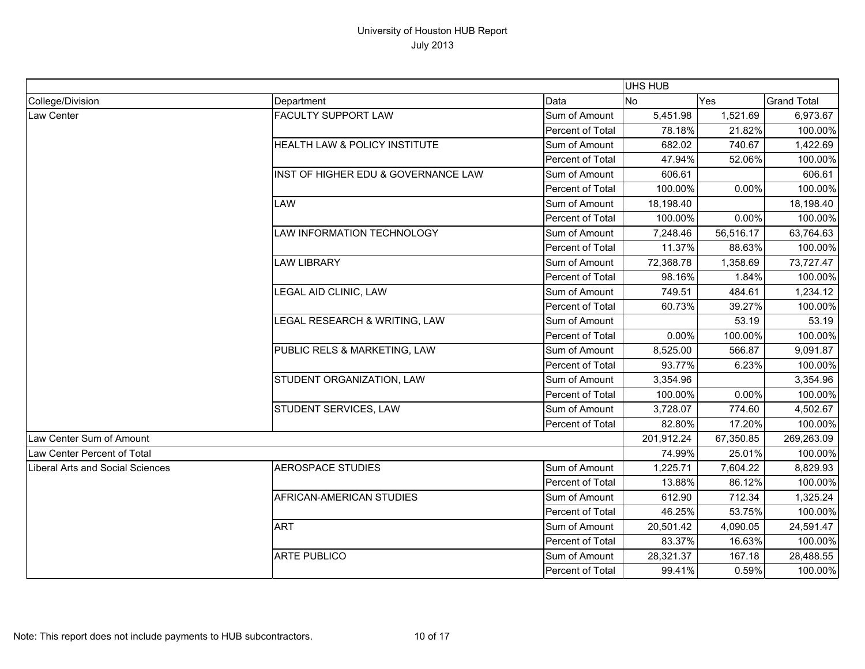|                                  |                                     |                  | <b>UHS HUB</b> |           |                    |
|----------------------------------|-------------------------------------|------------------|----------------|-----------|--------------------|
| College/Division                 | Department                          | Data             | <b>No</b>      | Yes       | <b>Grand Total</b> |
| Law Center                       | <b>FACULTY SUPPORT LAW</b>          | Sum of Amount    | 5,451.98       | 1,521.69  | 6,973.67           |
|                                  |                                     | Percent of Total | 78.18%         | 21.82%    | 100.00%            |
|                                  | HEALTH LAW & POLICY INSTITUTE       | Sum of Amount    | 682.02         | 740.67    | 1,422.69           |
|                                  |                                     | Percent of Total | 47.94%         | 52.06%    | 100.00%            |
|                                  | INST OF HIGHER EDU & GOVERNANCE LAW | Sum of Amount    | 606.61         |           | 606.61             |
|                                  |                                     | Percent of Total | 100.00%        | 0.00%     | 100.00%            |
|                                  | LAW                                 | Sum of Amount    | 18,198.40      |           | 18,198.40          |
|                                  |                                     | Percent of Total | 100.00%        | 0.00%     | 100.00%            |
|                                  | LAW INFORMATION TECHNOLOGY          | Sum of Amount    | 7,248.46       | 56,516.17 | 63,764.63          |
|                                  |                                     | Percent of Total | 11.37%         | 88.63%    | 100.00%            |
|                                  | <b>LAW LIBRARY</b>                  | Sum of Amount    | 72,368.78      | 1,358.69  | 73,727.47          |
|                                  |                                     | Percent of Total | 98.16%         | 1.84%     | 100.00%            |
|                                  | LEGAL AID CLINIC, LAW               | Sum of Amount    | 749.51         | 484.61    | 1,234.12           |
|                                  |                                     | Percent of Total | 60.73%         | 39.27%    | 100.00%            |
|                                  | LEGAL RESEARCH & WRITING, LAW       | Sum of Amount    |                | 53.19     | 53.19              |
|                                  |                                     | Percent of Total | 0.00%          | 100.00%   | 100.00%            |
|                                  | PUBLIC RELS & MARKETING, LAW        | Sum of Amount    | 8,525.00       | 566.87    | 9,091.87           |
|                                  |                                     | Percent of Total | 93.77%         | 6.23%     | 100.00%            |
|                                  | STUDENT ORGANIZATION, LAW           | Sum of Amount    | 3,354.96       |           | 3,354.96           |
|                                  |                                     | Percent of Total | 100.00%        | 0.00%     | 100.00%            |
|                                  | STUDENT SERVICES, LAW               | Sum of Amount    | 3,728.07       | 774.60    | 4,502.67           |
|                                  |                                     | Percent of Total | 82.80%         | 17.20%    | 100.00%            |
| Law Center Sum of Amount         |                                     |                  | 201,912.24     | 67,350.85 | 269,263.09         |
| Law Center Percent of Total      |                                     |                  | 74.99%         | 25.01%    | 100.00%            |
| Liberal Arts and Social Sciences | <b>AEROSPACE STUDIES</b>            | Sum of Amount    | 1,225.71       | 7,604.22  | 8,829.93           |
|                                  |                                     | Percent of Total | 13.88%         | 86.12%    | 100.00%            |
|                                  | AFRICAN-AMERICAN STUDIES            | Sum of Amount    | 612.90         | 712.34    | 1,325.24           |
|                                  |                                     | Percent of Total | 46.25%         | 53.75%    | 100.00%            |
|                                  | <b>ART</b>                          | Sum of Amount    | 20,501.42      | 4,090.05  | 24,591.47          |
|                                  |                                     | Percent of Total | 83.37%         | 16.63%    | 100.00%            |
|                                  | <b>ARTE PUBLICO</b>                 | Sum of Amount    | 28,321.37      | 167.18    | 28,488.55          |
|                                  |                                     | Percent of Total | 99.41%         | 0.59%     | 100.00%            |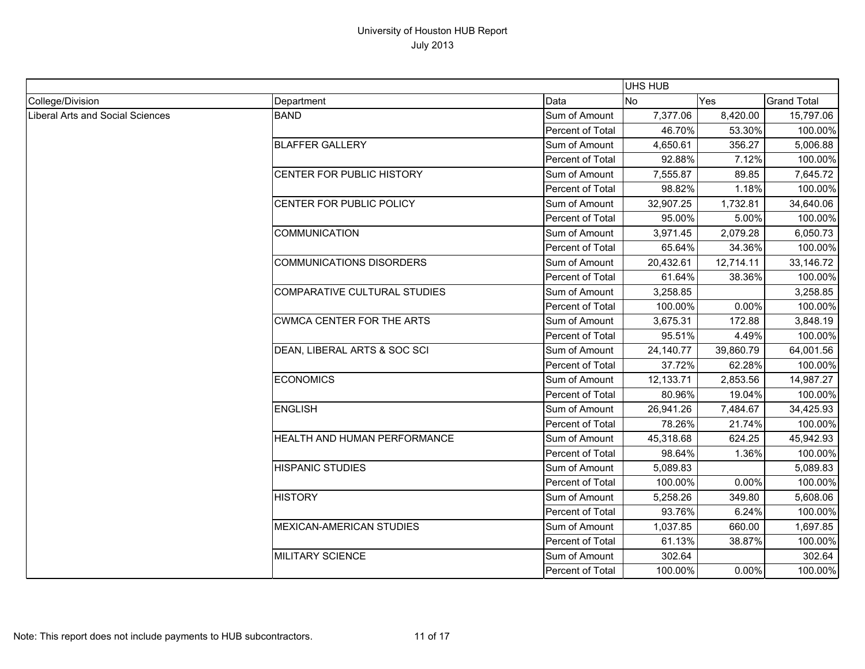|                                         |                                     |                  | <b>UHS HUB</b> |           |                    |
|-----------------------------------------|-------------------------------------|------------------|----------------|-----------|--------------------|
| College/Division                        | Department                          | Data             | <b>No</b>      | Yes       | <b>Grand Total</b> |
| <b>Liberal Arts and Social Sciences</b> | <b>BAND</b>                         | Sum of Amount    | 7,377.06       | 8,420.00  | 15,797.06          |
|                                         |                                     | Percent of Total | 46.70%         | 53.30%    | 100.00%            |
|                                         | <b>BLAFFER GALLERY</b>              | Sum of Amount    | 4,650.61       | 356.27    | 5,006.88           |
|                                         |                                     | Percent of Total | 92.88%         | 7.12%     | 100.00%            |
|                                         | CENTER FOR PUBLIC HISTORY           | Sum of Amount    | 7,555.87       | 89.85     | 7,645.72           |
|                                         |                                     | Percent of Total | 98.82%         | 1.18%     | 100.00%            |
|                                         | CENTER FOR PUBLIC POLICY            | Sum of Amount    | 32,907.25      | 1,732.81  | 34,640.06          |
|                                         |                                     | Percent of Total | 95.00%         | 5.00%     | 100.00%            |
|                                         | <b>COMMUNICATION</b>                | Sum of Amount    | 3,971.45       | 2,079.28  | 6,050.73           |
|                                         |                                     | Percent of Total | 65.64%         | 34.36%    | 100.00%            |
|                                         | <b>COMMUNICATIONS DISORDERS</b>     | Sum of Amount    | 20,432.61      | 12,714.11 | 33,146.72          |
|                                         |                                     | Percent of Total | 61.64%         | 38.36%    | 100.00%            |
|                                         | <b>COMPARATIVE CULTURAL STUDIES</b> | Sum of Amount    | 3,258.85       |           | 3,258.85           |
|                                         |                                     | Percent of Total | 100.00%        | 0.00%     | 100.00%            |
|                                         | <b>CWMCA CENTER FOR THE ARTS</b>    | Sum of Amount    | 3,675.31       | 172.88    | 3,848.19           |
|                                         |                                     | Percent of Total | 95.51%         | 4.49%     | 100.00%            |
|                                         | DEAN, LIBERAL ARTS & SOC SCI        | Sum of Amount    | 24,140.77      | 39,860.79 | 64,001.56          |
|                                         |                                     | Percent of Total | 37.72%         | 62.28%    | 100.00%            |
|                                         | <b>ECONOMICS</b>                    | Sum of Amount    | 12,133.71      | 2,853.56  | 14,987.27          |
|                                         |                                     | Percent of Total | 80.96%         | 19.04%    | 100.00%            |
|                                         | <b>ENGLISH</b>                      | Sum of Amount    | 26,941.26      | 7,484.67  | 34,425.93          |
|                                         |                                     | Percent of Total | 78.26%         | 21.74%    | 100.00%            |
|                                         | HEALTH AND HUMAN PERFORMANCE        | Sum of Amount    | 45,318.68      | 624.25    | 45,942.93          |
|                                         |                                     | Percent of Total | 98.64%         | 1.36%     | 100.00%            |
|                                         | <b>HISPANIC STUDIES</b>             | Sum of Amount    | 5,089.83       |           | 5,089.83           |
|                                         |                                     | Percent of Total | 100.00%        | 0.00%     | 100.00%            |
|                                         | <b>HISTORY</b>                      | Sum of Amount    | 5,258.26       | 349.80    | 5,608.06           |
|                                         |                                     | Percent of Total | 93.76%         | 6.24%     | 100.00%            |
|                                         | <b>MEXICAN-AMERICAN STUDIES</b>     | Sum of Amount    | 1,037.85       | 660.00    | 1,697.85           |
|                                         |                                     | Percent of Total | 61.13%         | 38.87%    | 100.00%            |
|                                         | <b>MILITARY SCIENCE</b>             | Sum of Amount    | 302.64         |           | 302.64             |
|                                         |                                     | Percent of Total | 100.00%        | 0.00%     | 100.00%            |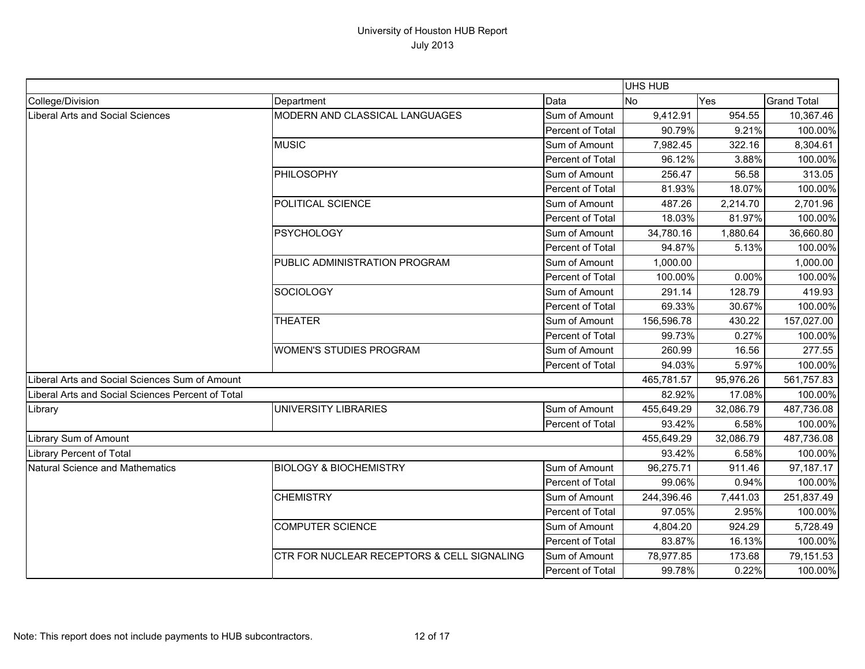|                                                   |                                            |                  | UHS HUB    |           |                    |
|---------------------------------------------------|--------------------------------------------|------------------|------------|-----------|--------------------|
| College/Division                                  | Department                                 | Data             | <b>No</b>  | Yes       | <b>Grand Total</b> |
| Liberal Arts and Social Sciences                  | MODERN AND CLASSICAL LANGUAGES             | Sum of Amount    | 9,412.91   | 954.55    | 10,367.46          |
|                                                   |                                            | Percent of Total | 90.79%     | 9.21%     | 100.00%            |
|                                                   | <b>MUSIC</b>                               | Sum of Amount    | 7,982.45   | 322.16    | 8,304.61           |
|                                                   |                                            | Percent of Total | 96.12%     | 3.88%     | 100.00%            |
|                                                   | PHILOSOPHY                                 | Sum of Amount    | 256.47     | 56.58     | 313.05             |
|                                                   |                                            | Percent of Total | 81.93%     | 18.07%    | 100.00%            |
|                                                   | POLITICAL SCIENCE                          | Sum of Amount    | 487.26     | 2,214.70  | 2,701.96           |
|                                                   |                                            | Percent of Total | 18.03%     | 81.97%    | 100.00%            |
|                                                   | <b>PSYCHOLOGY</b>                          | Sum of Amount    | 34,780.16  | 1,880.64  | 36,660.80          |
|                                                   |                                            | Percent of Total | 94.87%     | 5.13%     | 100.00%            |
|                                                   | PUBLIC ADMINISTRATION PROGRAM              | Sum of Amount    | 1,000.00   |           | 1,000.00           |
|                                                   |                                            | Percent of Total | 100.00%    | 0.00%     | 100.00%            |
|                                                   | <b>SOCIOLOGY</b>                           | Sum of Amount    | 291.14     | 128.79    | 419.93             |
|                                                   |                                            | Percent of Total | 69.33%     | 30.67%    | 100.00%            |
|                                                   | <b>THEATER</b>                             | Sum of Amount    | 156,596.78 | 430.22    | 157,027.00         |
|                                                   |                                            | Percent of Total | 99.73%     | 0.27%     | 100.00%            |
|                                                   | <b>WOMEN'S STUDIES PROGRAM</b>             | Sum of Amount    | 260.99     | 16.56     | 277.55             |
|                                                   |                                            | Percent of Total | 94.03%     | 5.97%     | 100.00%            |
| Liberal Arts and Social Sciences Sum of Amount    |                                            |                  | 465,781.57 | 95,976.26 | 561,757.83         |
| Liberal Arts and Social Sciences Percent of Total |                                            |                  | 82.92%     | 17.08%    | 100.00%            |
| Library                                           | <b>UNIVERSITY LIBRARIES</b>                | Sum of Amount    | 455,649.29 | 32,086.79 | 487,736.08         |
|                                                   |                                            | Percent of Total | 93.42%     | 6.58%     | 100.00%            |
| Library Sum of Amount                             |                                            |                  | 455,649.29 | 32,086.79 | 487,736.08         |
| <b>Library Percent of Total</b>                   |                                            |                  | 93.42%     | 6.58%     | 100.00%            |
| Natural Science and Mathematics                   | <b>BIOLOGY &amp; BIOCHEMISTRY</b>          | Sum of Amount    | 96,275.71  | 911.46    | 97,187.17          |
|                                                   |                                            | Percent of Total | 99.06%     | 0.94%     | 100.00%            |
|                                                   | <b>CHEMISTRY</b>                           | Sum of Amount    | 244,396.46 | 7,441.03  | 251,837.49         |
|                                                   |                                            | Percent of Total | 97.05%     | 2.95%     | 100.00%            |
|                                                   | <b>COMPUTER SCIENCE</b>                    | Sum of Amount    | 4,804.20   | 924.29    | 5,728.49           |
|                                                   |                                            | Percent of Total | 83.87%     | 16.13%    | 100.00%            |
|                                                   | CTR FOR NUCLEAR RECEPTORS & CELL SIGNALING | Sum of Amount    | 78,977.85  | 173.68    | 79,151.53          |
|                                                   |                                            | Percent of Total | 99.78%     | 0.22%     | 100.00%            |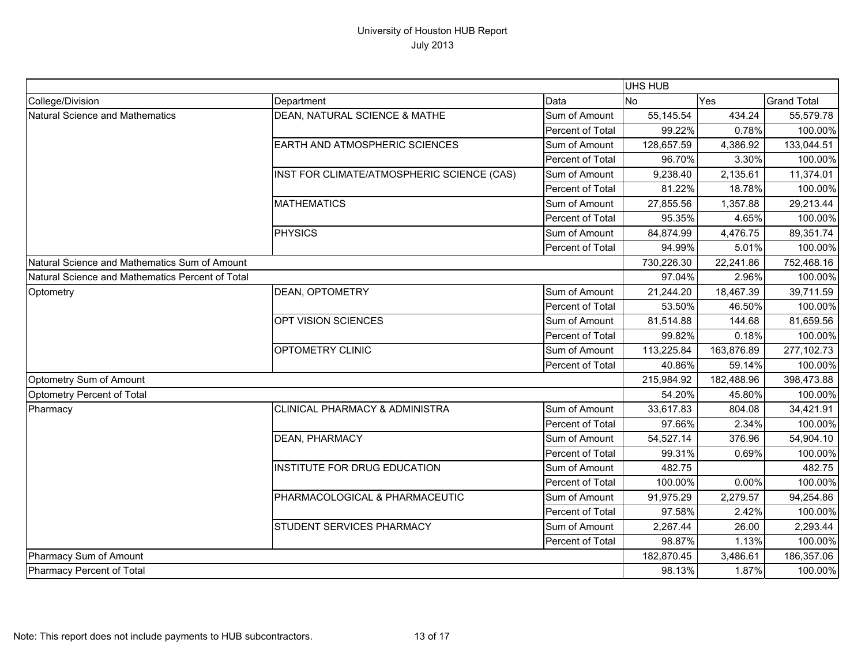|                                                  |                                            |                  | UHS HUB    |            |                    |
|--------------------------------------------------|--------------------------------------------|------------------|------------|------------|--------------------|
| College/Division                                 | Department                                 | Data             | <b>No</b>  | Yes        | <b>Grand Total</b> |
| Natural Science and Mathematics                  | DEAN, NATURAL SCIENCE & MATHE              | Sum of Amount    | 55,145.54  | 434.24     | 55,579.78          |
|                                                  |                                            | Percent of Total | 99.22%     | 0.78%      | 100.00%            |
|                                                  | EARTH AND ATMOSPHERIC SCIENCES             | Sum of Amount    | 128,657.59 | 4,386.92   | 133,044.51         |
|                                                  |                                            | Percent of Total | 96.70%     | 3.30%      | 100.00%            |
|                                                  | INST FOR CLIMATE/ATMOSPHERIC SCIENCE (CAS) | Sum of Amount    | 9,238.40   | 2,135.61   | 11,374.01          |
|                                                  |                                            | Percent of Total | 81.22%     | 18.78%     | 100.00%            |
|                                                  | <b>MATHEMATICS</b>                         | Sum of Amount    | 27,855.56  | 1,357.88   | 29,213.44          |
|                                                  |                                            | Percent of Total | 95.35%     | 4.65%      | 100.00%            |
|                                                  | <b>PHYSICS</b>                             | Sum of Amount    | 84,874.99  | 4,476.75   | 89,351.74          |
|                                                  |                                            | Percent of Total | 94.99%     | 5.01%      | 100.00%            |
| Natural Science and Mathematics Sum of Amount    |                                            |                  | 730,226.30 | 22,241.86  | 752,468.16         |
| Natural Science and Mathematics Percent of Total |                                            |                  | 97.04%     | 2.96%      | 100.00%            |
| Optometry                                        | <b>DEAN, OPTOMETRY</b>                     | Sum of Amount    | 21,244.20  | 18,467.39  | 39,711.59          |
|                                                  |                                            | Percent of Total | 53.50%     | 46.50%     | 100.00%            |
|                                                  | OPT VISION SCIENCES                        | Sum of Amount    | 81,514.88  | 144.68     | 81,659.56          |
|                                                  |                                            | Percent of Total | 99.82%     | 0.18%      | 100.00%            |
|                                                  | <b>OPTOMETRY CLINIC</b>                    | Sum of Amount    | 113,225.84 | 163,876.89 | 277,102.73         |
|                                                  |                                            | Percent of Total | 40.86%     | 59.14%     | 100.00%            |
| Optometry Sum of Amount                          |                                            |                  | 215,984.92 | 182,488.96 | 398,473.88         |
| Optometry Percent of Total                       |                                            |                  | 54.20%     | 45.80%     | 100.00%            |
| Pharmacy                                         | <b>CLINICAL PHARMACY &amp; ADMINISTRA</b>  | Sum of Amount    | 33,617.83  | 804.08     | 34,421.91          |
|                                                  |                                            | Percent of Total | 97.66%     | 2.34%      | 100.00%            |
|                                                  | <b>DEAN, PHARMACY</b>                      | Sum of Amount    | 54,527.14  | 376.96     | 54,904.10          |
|                                                  |                                            | Percent of Total | 99.31%     | 0.69%      | 100.00%            |
|                                                  | INSTITUTE FOR DRUG EDUCATION               | Sum of Amount    | 482.75     |            | 482.75             |
|                                                  |                                            | Percent of Total | 100.00%    | 0.00%      | 100.00%            |
|                                                  | PHARMACOLOGICAL & PHARMACEUTIC             | Sum of Amount    | 91,975.29  | 2,279.57   | 94,254.86          |
|                                                  |                                            | Percent of Total | 97.58%     | 2.42%      | 100.00%            |
|                                                  | STUDENT SERVICES PHARMACY                  | Sum of Amount    | 2,267.44   | 26.00      | 2,293.44           |
|                                                  |                                            | Percent of Total | 98.87%     | 1.13%      | 100.00%            |
| Pharmacy Sum of Amount                           |                                            |                  | 182,870.45 | 3,486.61   | 186,357.06         |
| Pharmacy Percent of Total                        |                                            |                  | 98.13%     | 1.87%      | 100.00%            |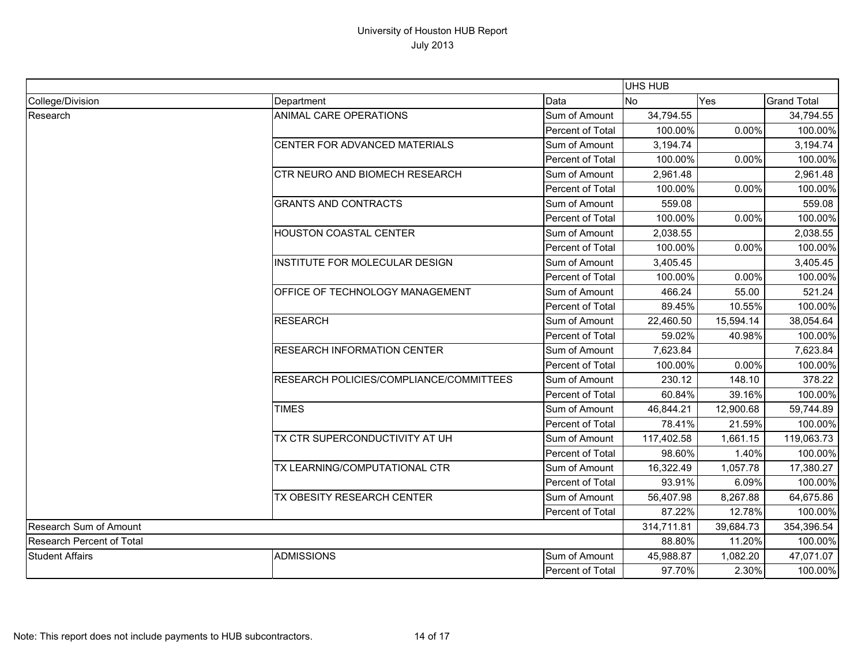|                                  | <b>UHS HUB</b>                                          |                  |            |            |                    |
|----------------------------------|---------------------------------------------------------|------------------|------------|------------|--------------------|
| College/Division                 | Department                                              | Data             | <b>No</b>  | Yes        | <b>Grand Total</b> |
| Research                         | ANIMAL CARE OPERATIONS                                  | Sum of Amount    | 34,794.55  |            | 34,794.55          |
|                                  |                                                         | Percent of Total | 100.00%    | 0.00%      | 100.00%            |
|                                  | CENTER FOR ADVANCED MATERIALS                           | Sum of Amount    | 3,194.74   |            | 3,194.74           |
|                                  |                                                         | Percent of Total | 100.00%    | 0.00%      | 100.00%            |
|                                  | <b>CTR NEURO AND BIOMECH RESEARCH</b>                   | Sum of Amount    | 2,961.48   |            | 2,961.48           |
|                                  |                                                         | Percent of Total | 100.00%    | 0.00%      | 100.00%            |
|                                  | <b>GRANTS AND CONTRACTS</b>                             | Sum of Amount    | 559.08     |            | 559.08             |
|                                  |                                                         | Percent of Total | 100.00%    | 0.00%      | 100.00%            |
|                                  | <b>HOUSTON COASTAL CENTER</b>                           | Sum of Amount    | 2,038.55   |            | 2,038.55           |
|                                  |                                                         | Percent of Total | 100.00%    | 0.00%      | 100.00%            |
|                                  | INSTITUTE FOR MOLECULAR DESIGN                          | Sum of Amount    | 3,405.45   |            | 3,405.45           |
|                                  |                                                         | Percent of Total | 100.00%    | 0.00%      | 100.00%            |
|                                  | OFFICE OF TECHNOLOGY MANAGEMENT                         | Sum of Amount    | 466.24     | 55.00      | 521.24             |
|                                  |                                                         | Percent of Total | 89.45%     | 10.55%     | 100.00%            |
|                                  | <b>RESEARCH</b>                                         | Sum of Amount    | 22,460.50  | 15,594.14  | 38,054.64          |
|                                  |                                                         | Percent of Total | 59.02%     | 40.98%     | 100.00%            |
|                                  | <b>RESEARCH INFORMATION CENTER</b>                      | Sum of Amount    | 7,623.84   |            | 7,623.84           |
|                                  |                                                         | Percent of Total | 100.00%    | 0.00%      | 100.00%            |
|                                  | RESEARCH POLICIES/COMPLIANCE/COMMITTEES<br><b>TIMES</b> | Sum of Amount    | 230.12     | 148.10     | 378.22             |
|                                  |                                                         | Percent of Total | 60.84%     | 39.16%     | 100.00%            |
|                                  |                                                         | Sum of Amount    | 46,844.21  | 12,900.68  | 59,744.89          |
|                                  |                                                         | Percent of Total | 78.41%     | 21.59%     | 100.00%            |
|                                  | TX CTR SUPERCONDUCTIVITY AT UH                          | Sum of Amount    | 117,402.58 | 1,661.15   | 119,063.73         |
|                                  |                                                         | Percent of Total | 98.60%     | 1.40%      | 100.00%            |
|                                  | TX LEARNING/COMPUTATIONAL CTR                           | Sum of Amount    | 16,322.49  | 1,057.78   | 17,380.27          |
|                                  |                                                         | Percent of Total | 93.91%     | 6.09%      | 100.00%            |
|                                  | TX OBESITY RESEARCH CENTER                              | Sum of Amount    | 56,407.98  | 8,267.88   | 64,675.86          |
|                                  |                                                         | Percent of Total | 87.22%     | 12.78%     | 100.00%            |
| <b>Research Sum of Amount</b>    |                                                         | 314,711.81       | 39,684.73  | 354,396.54 |                    |
| <b>Research Percent of Total</b> |                                                         | 88.80%           | 11.20%     | 100.00%    |                    |
| <b>Student Affairs</b>           | <b>ADMISSIONS</b>                                       | Sum of Amount    | 45,988.87  | 1,082.20   | 47,071.07          |
|                                  |                                                         | Percent of Total | 97.70%     | 2.30%      | 100.00%            |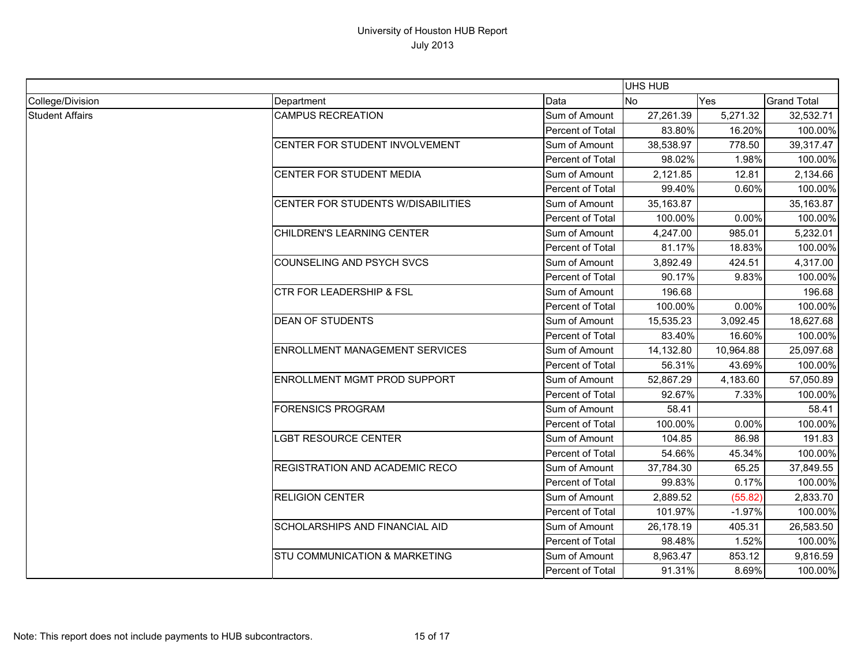|                        |                                          |                  |            |           | UHS HUB                                                                                                                                                                                                                                                                                                       |  |  |  |
|------------------------|------------------------------------------|------------------|------------|-----------|---------------------------------------------------------------------------------------------------------------------------------------------------------------------------------------------------------------------------------------------------------------------------------------------------------------|--|--|--|
| College/Division       | Department                               | Data             | <b>No</b>  | Yes       |                                                                                                                                                                                                                                                                                                               |  |  |  |
| <b>Student Affairs</b> | <b>CAMPUS RECREATION</b>                 | Sum of Amount    | 27,261.39  | 5,271.32  | 32,532.71                                                                                                                                                                                                                                                                                                     |  |  |  |
|                        |                                          | Percent of Total | 83.80%     | 16.20%    |                                                                                                                                                                                                                                                                                                               |  |  |  |
|                        | CENTER FOR STUDENT INVOLVEMENT           | Sum of Amount    | 38,538.97  | 778.50    | 39,317.47                                                                                                                                                                                                                                                                                                     |  |  |  |
|                        |                                          | Percent of Total | 98.02%     | 1.98%     |                                                                                                                                                                                                                                                                                                               |  |  |  |
|                        | CENTER FOR STUDENT MEDIA                 | Sum of Amount    | 2,121.85   | 12.81     | 2,134.66                                                                                                                                                                                                                                                                                                      |  |  |  |
|                        |                                          | Percent of Total | 99.40%     | 0.60%     |                                                                                                                                                                                                                                                                                                               |  |  |  |
|                        | CENTER FOR STUDENTS W/DISABILITIES       | Sum of Amount    | 35, 163.87 |           | 35,163.87                                                                                                                                                                                                                                                                                                     |  |  |  |
|                        |                                          | Percent of Total | 100.00%    | 0.00%     | 100.00%                                                                                                                                                                                                                                                                                                       |  |  |  |
|                        | CHILDREN'S LEARNING CENTER               | Sum of Amount    | 4,247.00   | 985.01    | 5,232.01                                                                                                                                                                                                                                                                                                      |  |  |  |
|                        |                                          | Percent of Total | 81.17%     | 18.83%    |                                                                                                                                                                                                                                                                                                               |  |  |  |
|                        | <b>COUNSELING AND PSYCH SVCS</b>         | Sum of Amount    | 3,892.49   | 424.51    | 4,317.00                                                                                                                                                                                                                                                                                                      |  |  |  |
|                        |                                          | Percent of Total | 90.17%     | 9.83%     |                                                                                                                                                                                                                                                                                                               |  |  |  |
|                        | <b>CTR FOR LEADERSHIP &amp; FSL</b>      | Sum of Amount    | 196.68     |           | <b>Grand Total</b><br>100.00%<br>100.00%<br>100.00%<br>100.00%<br>100.00%<br>196.68<br>100.00%<br>18,627.68<br>100.00%<br>25,097.68<br>100.00%<br>57,050.89<br>100.00%<br>58.41<br>100.00%<br>191.83<br>100.00%<br>37,849.55<br>100.00%<br>2,833.70<br>100.00%<br>26,583.50<br>100.00%<br>9,816.59<br>100.00% |  |  |  |
|                        |                                          | Percent of Total | 100.00%    | 0.00%     |                                                                                                                                                                                                                                                                                                               |  |  |  |
|                        | <b>DEAN OF STUDENTS</b>                  | Sum of Amount    | 15,535.23  | 3,092.45  |                                                                                                                                                                                                                                                                                                               |  |  |  |
|                        |                                          | Percent of Total | 83.40%     | 16.60%    |                                                                                                                                                                                                                                                                                                               |  |  |  |
|                        | <b>ENROLLMENT MANAGEMENT SERVICES</b>    | Sum of Amount    | 14,132.80  | 10,964.88 |                                                                                                                                                                                                                                                                                                               |  |  |  |
|                        |                                          | Percent of Total | 56.31%     | 43.69%    |                                                                                                                                                                                                                                                                                                               |  |  |  |
|                        | ENROLLMENT MGMT PROD SUPPORT             | Sum of Amount    | 52,867.29  | 4,183.60  |                                                                                                                                                                                                                                                                                                               |  |  |  |
|                        |                                          | Percent of Total | 92.67%     | 7.33%     |                                                                                                                                                                                                                                                                                                               |  |  |  |
|                        | <b>FORENSICS PROGRAM</b>                 | Sum of Amount    | 58.41      |           |                                                                                                                                                                                                                                                                                                               |  |  |  |
|                        |                                          | Percent of Total | 100.00%    | 0.00%     |                                                                                                                                                                                                                                                                                                               |  |  |  |
|                        | <b>LGBT RESOURCE CENTER</b>              | Sum of Amount    | 104.85     | 86.98     |                                                                                                                                                                                                                                                                                                               |  |  |  |
|                        |                                          | Percent of Total | 54.66%     | 45.34%    |                                                                                                                                                                                                                                                                                                               |  |  |  |
|                        | <b>REGISTRATION AND ACADEMIC RECO</b>    | Sum of Amount    | 37,784.30  | 65.25     |                                                                                                                                                                                                                                                                                                               |  |  |  |
|                        |                                          | Percent of Total | 99.83%     | 0.17%     |                                                                                                                                                                                                                                                                                                               |  |  |  |
|                        | <b>RELIGION CENTER</b>                   | Sum of Amount    | 2,889.52   | (55.82)   |                                                                                                                                                                                                                                                                                                               |  |  |  |
|                        |                                          | Percent of Total | 101.97%    | $-1.97%$  |                                                                                                                                                                                                                                                                                                               |  |  |  |
|                        | <b>SCHOLARSHIPS AND FINANCIAL AID</b>    | Sum of Amount    | 26,178.19  | 405.31    |                                                                                                                                                                                                                                                                                                               |  |  |  |
|                        |                                          | Percent of Total | 98.48%     | 1.52%     |                                                                                                                                                                                                                                                                                                               |  |  |  |
|                        | <b>STU COMMUNICATION &amp; MARKETING</b> | Sum of Amount    | 8,963.47   | 853.12    |                                                                                                                                                                                                                                                                                                               |  |  |  |
|                        |                                          | Percent of Total | 91.31%     | 8.69%     |                                                                                                                                                                                                                                                                                                               |  |  |  |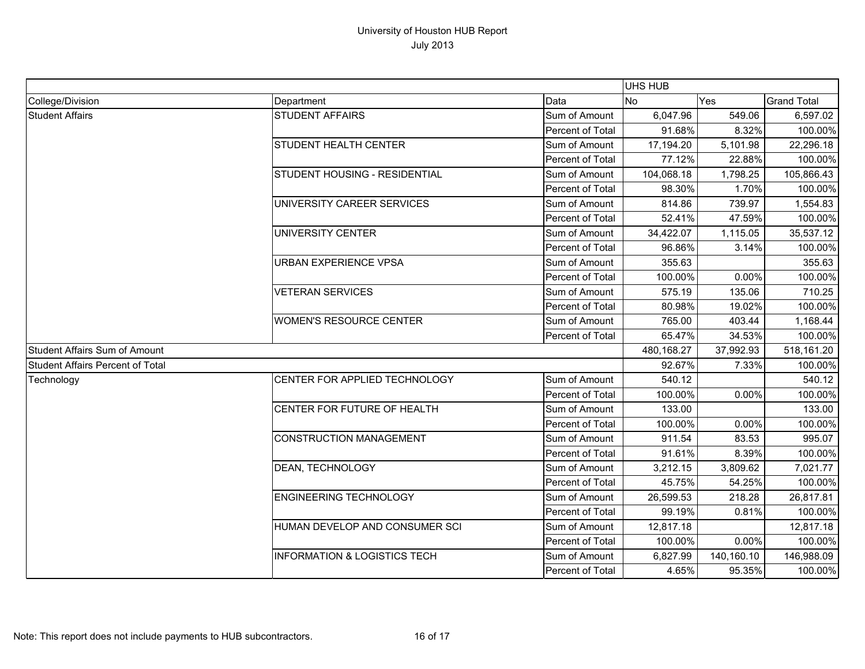|                                  |                                         |                  | UHS HUB    |            |                    |
|----------------------------------|-----------------------------------------|------------------|------------|------------|--------------------|
| College/Division                 | Department                              | Data             | <b>No</b>  | Yes        | <b>Grand Total</b> |
| <b>Student Affairs</b>           | <b>STUDENT AFFAIRS</b>                  | Sum of Amount    | 6,047.96   | 549.06     | 6,597.02           |
|                                  |                                         | Percent of Total | 91.68%     | 8.32%      | 100.00%            |
|                                  | <b>STUDENT HEALTH CENTER</b>            | Sum of Amount    | 17,194.20  | 5,101.98   | 22,296.18          |
|                                  |                                         | Percent of Total | 77.12%     | 22.88%     | 100.00%            |
|                                  | <b>STUDENT HOUSING - RESIDENTIAL</b>    | Sum of Amount    | 104,068.18 | 1,798.25   | 105,866.43         |
|                                  |                                         | Percent of Total | 98.30%     | 1.70%      | 100.00%            |
|                                  | UNIVERSITY CAREER SERVICES              | Sum of Amount    | 814.86     | 739.97     | 1,554.83           |
|                                  |                                         | Percent of Total | 52.41%     | 47.59%     | 100.00%            |
|                                  | UNIVERSITY CENTER                       | Sum of Amount    | 34,422.07  | 1,115.05   | 35,537.12          |
|                                  |                                         | Percent of Total | 96.86%     | 3.14%      | 100.00%            |
|                                  | <b>URBAN EXPERIENCE VPSA</b>            | Sum of Amount    | 355.63     |            | 355.63             |
|                                  |                                         | Percent of Total | 100.00%    | 0.00%      | 100.00%            |
|                                  | <b>VETERAN SERVICES</b>                 | Sum of Amount    | 575.19     | 135.06     | 710.25             |
|                                  |                                         | Percent of Total | 80.98%     | 19.02%     | 100.00%            |
|                                  | <b>WOMEN'S RESOURCE CENTER</b>          | Sum of Amount    | 765.00     | 403.44     | 1,168.44           |
|                                  |                                         | Percent of Total | 65.47%     | 34.53%     | 100.00%            |
| Student Affairs Sum of Amount    |                                         | 480,168.27       | 37,992.93  | 518,161.20 |                    |
| Student Affairs Percent of Total |                                         | 92.67%           | 7.33%      | 100.00%    |                    |
| Technology                       | CENTER FOR APPLIED TECHNOLOGY           | Sum of Amount    | 540.12     |            | 540.12             |
|                                  |                                         | Percent of Total | 100.00%    | 0.00%      | 100.00%            |
|                                  | CENTER FOR FUTURE OF HEALTH             | Sum of Amount    | 133.00     |            | 133.00             |
|                                  |                                         | Percent of Total | 100.00%    | 0.00%      | 100.00%            |
|                                  | <b>CONSTRUCTION MANAGEMENT</b>          | Sum of Amount    | 911.54     | 83.53      | 995.07             |
|                                  |                                         | Percent of Total | 91.61%     | 8.39%      | 100.00%            |
|                                  | DEAN, TECHNOLOGY                        | Sum of Amount    | 3,212.15   | 3,809.62   | 7,021.77           |
|                                  |                                         | Percent of Total | 45.75%     | 54.25%     | 100.00%            |
|                                  | <b>ENGINEERING TECHNOLOGY</b>           | Sum of Amount    | 26,599.53  | 218.28     | 26,817.81          |
|                                  |                                         | Percent of Total | 99.19%     | 0.81%      | 100.00%            |
|                                  | HUMAN DEVELOP AND CONSUMER SCI          | Sum of Amount    | 12,817.18  |            | 12,817.18          |
|                                  |                                         | Percent of Total | 100.00%    | 0.00%      | 100.00%            |
|                                  | <b>INFORMATION &amp; LOGISTICS TECH</b> | Sum of Amount    | 6,827.99   | 140,160.10 | 146,988.09         |
|                                  |                                         | Percent of Total | 4.65%      | 95.35%     | 100.00%            |